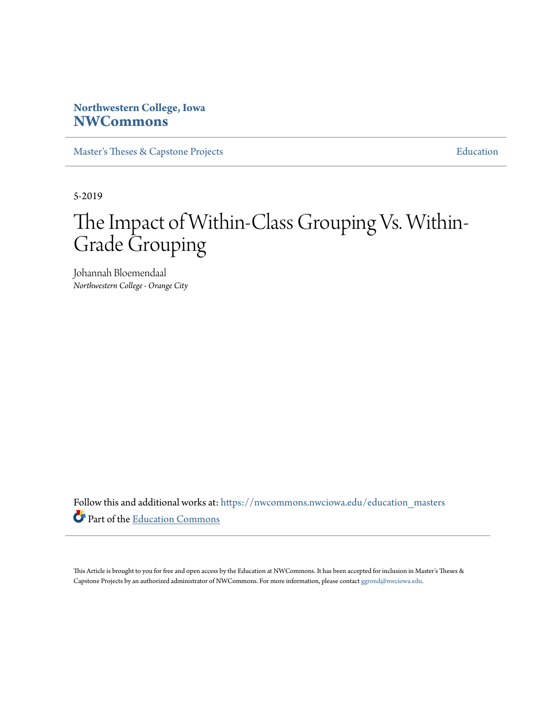# **Northwestern College, Iowa [NWCommons](https://nwcommons.nwciowa.edu?utm_source=nwcommons.nwciowa.edu%2Feducation_masters%2F131&utm_medium=PDF&utm_campaign=PDFCoverPages)**

[Master's Theses & Capstone Projects](https://nwcommons.nwciowa.edu/education_masters?utm_source=nwcommons.nwciowa.edu%2Feducation_masters%2F131&utm_medium=PDF&utm_campaign=PDFCoverPages) **[Education](https://nwcommons.nwciowa.edu/education?utm_source=nwcommons.nwciowa.edu%2Feducation_masters%2F131&utm_medium=PDF&utm_campaign=PDFCoverPages)** 

5-2019

# The Impact of Within-Class Grouping Vs. Within-Grade Grouping

Johannah Bloemendaal *Northwestern College - Orange City*

Follow this and additional works at: [https://nwcommons.nwciowa.edu/education\\_masters](https://nwcommons.nwciowa.edu/education_masters?utm_source=nwcommons.nwciowa.edu%2Feducation_masters%2F131&utm_medium=PDF&utm_campaign=PDFCoverPages) Part of the [Education Commons](http://network.bepress.com/hgg/discipline/784?utm_source=nwcommons.nwciowa.edu%2Feducation_masters%2F131&utm_medium=PDF&utm_campaign=PDFCoverPages)

This Article is brought to you for free and open access by the Education at NWCommons. It has been accepted for inclusion in Master's Theses & Capstone Projects by an authorized administrator of NWCommons. For more information, please contact [ggrond@nwciowa.edu.](mailto:ggrond@nwciowa.edu)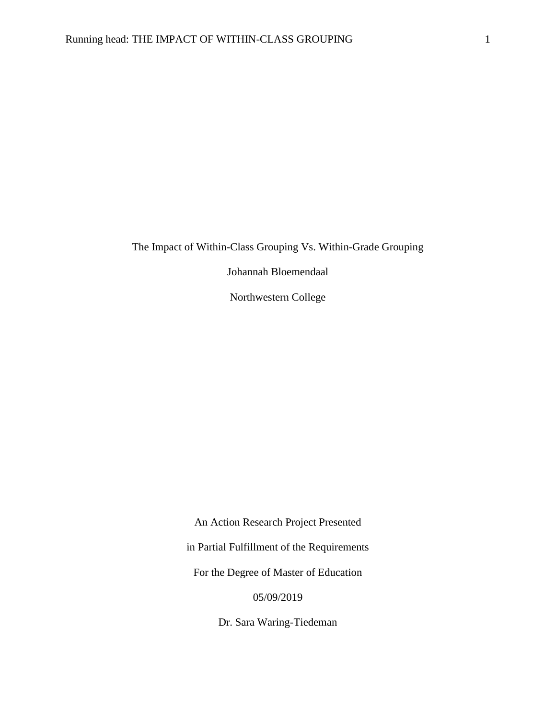The Impact of Within-Class Grouping Vs. Within-Grade Grouping

Johannah Bloemendaal

Northwestern College

An Action Research Project Presented in Partial Fulfillment of the Requirements For the Degree of Master of Education 05/09/2019

Dr. Sara Waring-Tiedeman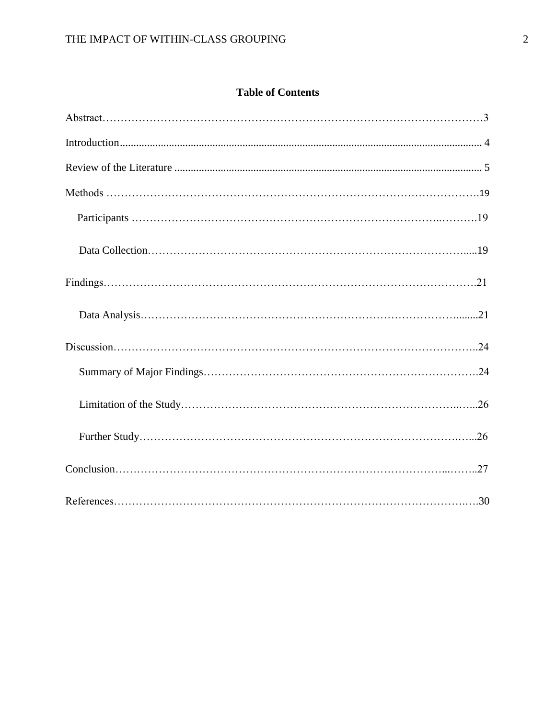# **Table of Contents**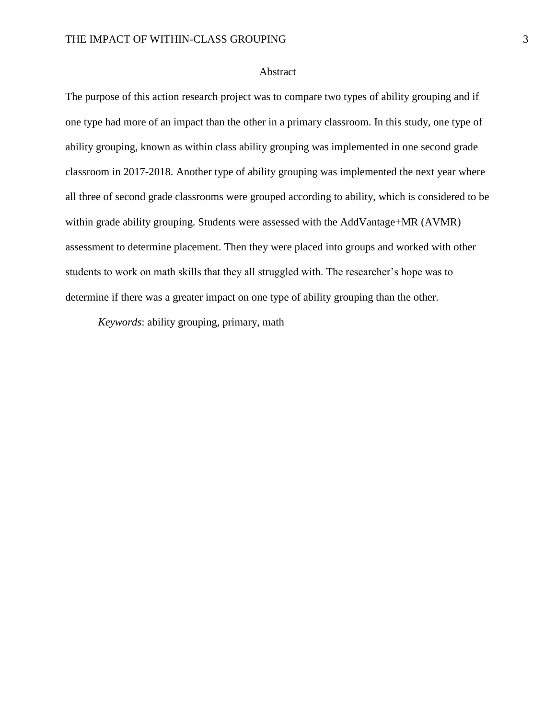#### Abstract

The purpose of this action research project was to compare two types of ability grouping and if one type had more of an impact than the other in a primary classroom. In this study, one type of ability grouping, known as within class ability grouping was implemented in one second grade classroom in 2017-2018. Another type of ability grouping was implemented the next year where all three of second grade classrooms were grouped according to ability, which is considered to be within grade ability grouping. Students were assessed with the AddVantage+MR (AVMR) assessment to determine placement. Then they were placed into groups and worked with other students to work on math skills that they all struggled with. The researcher's hope was to determine if there was a greater impact on one type of ability grouping than the other.

*Keywords*: ability grouping, primary, math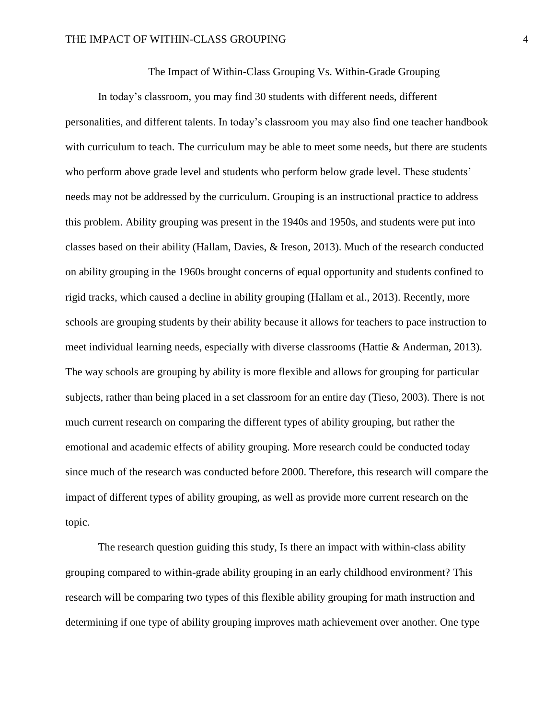The Impact of Within-Class Grouping Vs. Within-Grade Grouping

In today's classroom, you may find 30 students with different needs, different personalities, and different talents. In today's classroom you may also find one teacher handbook with curriculum to teach. The curriculum may be able to meet some needs, but there are students who perform above grade level and students who perform below grade level. These students' needs may not be addressed by the curriculum. Grouping is an instructional practice to address this problem. Ability grouping was present in the 1940s and 1950s, and students were put into classes based on their ability (Hallam, Davies, & Ireson, 2013). Much of the research conducted on ability grouping in the 1960s brought concerns of equal opportunity and students confined to rigid tracks, which caused a decline in ability grouping (Hallam et al., 2013). Recently, more schools are grouping students by their ability because it allows for teachers to pace instruction to meet individual learning needs, especially with diverse classrooms (Hattie & Anderman, 2013). The way schools are grouping by ability is more flexible and allows for grouping for particular subjects, rather than being placed in a set classroom for an entire day (Tieso, 2003). There is not much current research on comparing the different types of ability grouping, but rather the emotional and academic effects of ability grouping. More research could be conducted today since much of the research was conducted before 2000. Therefore, this research will compare the impact of different types of ability grouping, as well as provide more current research on the topic.

The research question guiding this study, Is there an impact with within-class ability grouping compared to within-grade ability grouping in an early childhood environment? This research will be comparing two types of this flexible ability grouping for math instruction and determining if one type of ability grouping improves math achievement over another. One type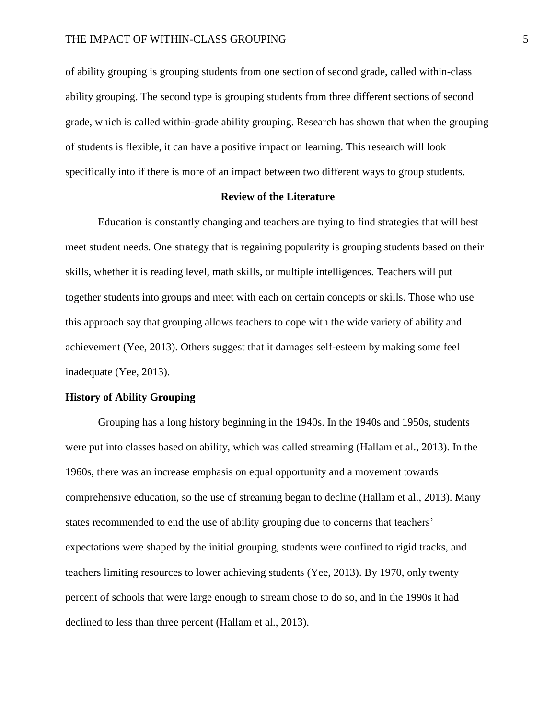of ability grouping is grouping students from one section of second grade, called within-class ability grouping. The second type is grouping students from three different sections of second grade, which is called within-grade ability grouping. Research has shown that when the grouping of students is flexible, it can have a positive impact on learning. This research will look specifically into if there is more of an impact between two different ways to group students.

#### **Review of the Literature**

<span id="page-5-0"></span>Education is constantly changing and teachers are trying to find strategies that will best meet student needs. One strategy that is regaining popularity is grouping students based on their skills, whether it is reading level, math skills, or multiple intelligences. Teachers will put together students into groups and meet with each on certain concepts or skills. Those who use this approach say that grouping allows teachers to cope with the wide variety of ability and achievement (Yee, 2013). Others suggest that it damages self-esteem by making some feel inadequate (Yee, 2013).

#### **History of Ability Grouping**

Grouping has a long history beginning in the 1940s. In the 1940s and 1950s, students were put into classes based on ability, which was called streaming (Hallam et al., 2013). In the 1960s, there was an increase emphasis on equal opportunity and a movement towards comprehensive education, so the use of streaming began to decline (Hallam et al., 2013). Many states recommended to end the use of ability grouping due to concerns that teachers' expectations were shaped by the initial grouping, students were confined to rigid tracks, and teachers limiting resources to lower achieving students (Yee, 2013). By 1970, only twenty percent of schools that were large enough to stream chose to do so, and in the 1990s it had declined to less than three percent (Hallam et al., 2013).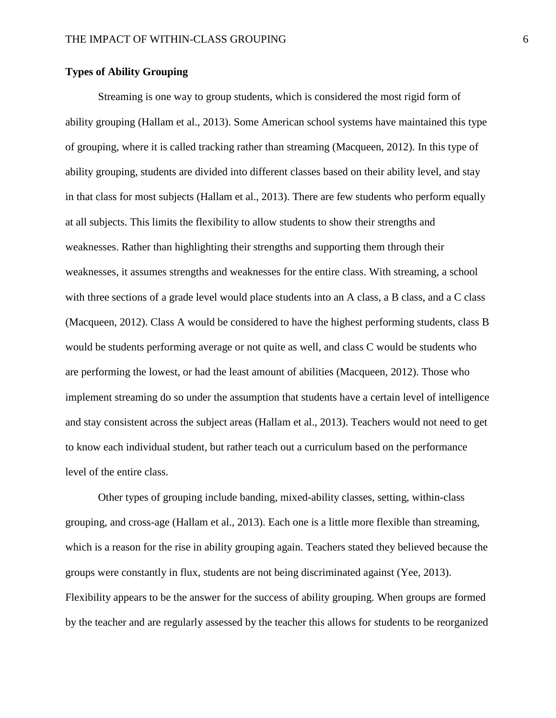#### **Types of Ability Grouping**

Streaming is one way to group students, which is considered the most rigid form of ability grouping (Hallam et al., 2013). Some American school systems have maintained this type of grouping, where it is called tracking rather than streaming (Macqueen, 2012). In this type of ability grouping, students are divided into different classes based on their ability level, and stay in that class for most subjects (Hallam et al., 2013). There are few students who perform equally at all subjects. This limits the flexibility to allow students to show their strengths and weaknesses. Rather than highlighting their strengths and supporting them through their weaknesses, it assumes strengths and weaknesses for the entire class. With streaming, a school with three sections of a grade level would place students into an A class, a B class, and a C class (Macqueen, 2012). Class A would be considered to have the highest performing students, class B would be students performing average or not quite as well, and class C would be students who are performing the lowest, or had the least amount of abilities (Macqueen, 2012). Those who implement streaming do so under the assumption that students have a certain level of intelligence and stay consistent across the subject areas (Hallam et al., 2013). Teachers would not need to get to know each individual student, but rather teach out a curriculum based on the performance level of the entire class.

Other types of grouping include banding, mixed-ability classes, setting, within-class grouping, and cross-age (Hallam et al., 2013). Each one is a little more flexible than streaming, which is a reason for the rise in ability grouping again. Teachers stated they believed because the groups were constantly in flux, students are not being discriminated against (Yee, 2013). Flexibility appears to be the answer for the success of ability grouping. When groups are formed by the teacher and are regularly assessed by the teacher this allows for students to be reorganized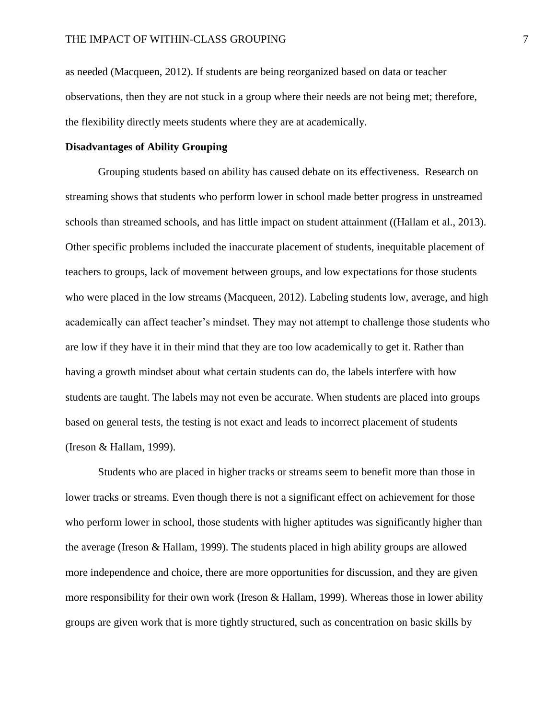as needed (Macqueen, 2012). If students are being reorganized based on data or teacher observations, then they are not stuck in a group where their needs are not being met; therefore, the flexibility directly meets students where they are at academically.

#### **Disadvantages of Ability Grouping**

Grouping students based on ability has caused debate on its effectiveness. Research on streaming shows that students who perform lower in school made better progress in unstreamed schools than streamed schools, and has little impact on student attainment ((Hallam et al., 2013). Other specific problems included the inaccurate placement of students, inequitable placement of teachers to groups, lack of movement between groups, and low expectations for those students who were placed in the low streams (Macqueen, 2012). Labeling students low, average, and high academically can affect teacher's mindset. They may not attempt to challenge those students who are low if they have it in their mind that they are too low academically to get it. Rather than having a growth mindset about what certain students can do, the labels interfere with how students are taught. The labels may not even be accurate. When students are placed into groups based on general tests, the testing is not exact and leads to incorrect placement of students (Ireson & Hallam, 1999).

Students who are placed in higher tracks or streams seem to benefit more than those in lower tracks or streams. Even though there is not a significant effect on achievement for those who perform lower in school, those students with higher aptitudes was significantly higher than the average (Ireson & Hallam, 1999). The students placed in high ability groups are allowed more independence and choice, there are more opportunities for discussion, and they are given more responsibility for their own work (Ireson & Hallam, 1999). Whereas those in lower ability groups are given work that is more tightly structured, such as concentration on basic skills by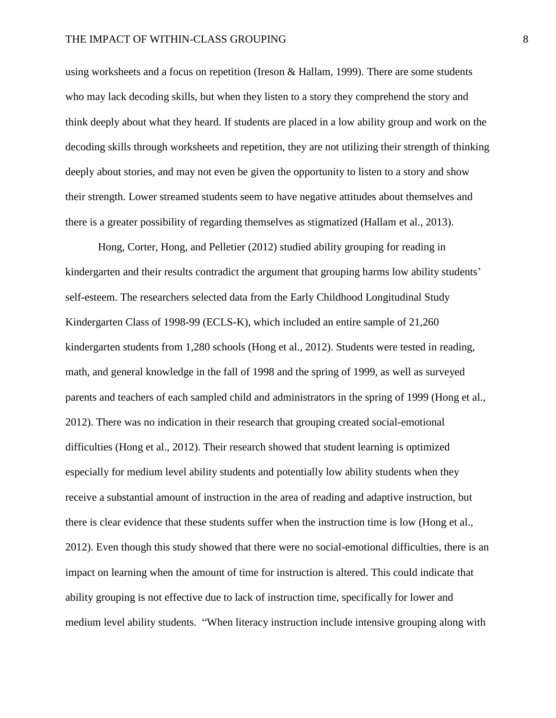using worksheets and a focus on repetition (Ireson & Hallam, 1999). There are some students who may lack decoding skills, but when they listen to a story they comprehend the story and think deeply about what they heard. If students are placed in a low ability group and work on the decoding skills through worksheets and repetition, they are not utilizing their strength of thinking deeply about stories, and may not even be given the opportunity to listen to a story and show their strength. Lower streamed students seem to have negative attitudes about themselves and there is a greater possibility of regarding themselves as stigmatized (Hallam et al., 2013).

Hong, Corter, Hong, and Pelletier (2012) studied ability grouping for reading in kindergarten and their results contradict the argument that grouping harms low ability students' self-esteem. The researchers selected data from the Early Childhood Longitudinal Study Kindergarten Class of 1998-99 (ECLS-K), which included an entire sample of 21,260 kindergarten students from 1,280 schools (Hong et al., 2012). Students were tested in reading, math, and general knowledge in the fall of 1998 and the spring of 1999, as well as surveyed parents and teachers of each sampled child and administrators in the spring of 1999 (Hong et al., 2012). There was no indication in their research that grouping created social-emotional difficulties (Hong et al., 2012). Their research showed that student learning is optimized especially for medium level ability students and potentially low ability students when they receive a substantial amount of instruction in the area of reading and adaptive instruction, but there is clear evidence that these students suffer when the instruction time is low (Hong et al., 2012). Even though this study showed that there were no social-emotional difficulties, there is an impact on learning when the amount of time for instruction is altered. This could indicate that ability grouping is not effective due to lack of instruction time, specifically for lower and medium level ability students. "When literacy instruction include intensive grouping along with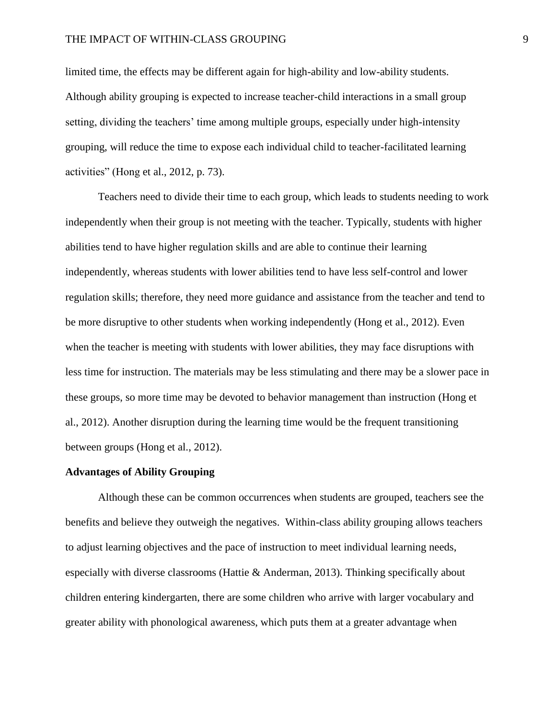limited time, the effects may be different again for high-ability and low-ability students. Although ability grouping is expected to increase teacher-child interactions in a small group setting, dividing the teachers' time among multiple groups, especially under high-intensity grouping, will reduce the time to expose each individual child to teacher-facilitated learning activities" (Hong et al., 2012, p. 73).

Teachers need to divide their time to each group, which leads to students needing to work independently when their group is not meeting with the teacher. Typically, students with higher abilities tend to have higher regulation skills and are able to continue their learning independently, whereas students with lower abilities tend to have less self-control and lower regulation skills; therefore, they need more guidance and assistance from the teacher and tend to be more disruptive to other students when working independently (Hong et al., 2012). Even when the teacher is meeting with students with lower abilities, they may face disruptions with less time for instruction. The materials may be less stimulating and there may be a slower pace in these groups, so more time may be devoted to behavior management than instruction (Hong et al., 2012). Another disruption during the learning time would be the frequent transitioning between groups (Hong et al., 2012).

#### **Advantages of Ability Grouping**

Although these can be common occurrences when students are grouped, teachers see the benefits and believe they outweigh the negatives. Within-class ability grouping allows teachers to adjust learning objectives and the pace of instruction to meet individual learning needs, especially with diverse classrooms (Hattie & Anderman, 2013). Thinking specifically about children entering kindergarten, there are some children who arrive with larger vocabulary and greater ability with phonological awareness, which puts them at a greater advantage when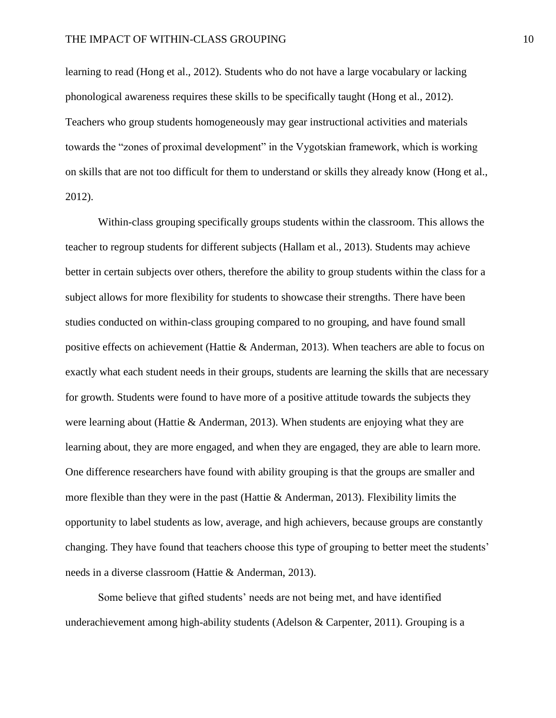learning to read (Hong et al., 2012). Students who do not have a large vocabulary or lacking phonological awareness requires these skills to be specifically taught (Hong et al., 2012). Teachers who group students homogeneously may gear instructional activities and materials towards the "zones of proximal development" in the Vygotskian framework, which is working on skills that are not too difficult for them to understand or skills they already know (Hong et al., 2012).

Within-class grouping specifically groups students within the classroom. This allows the teacher to regroup students for different subjects (Hallam et al., 2013). Students may achieve better in certain subjects over others, therefore the ability to group students within the class for a subject allows for more flexibility for students to showcase their strengths. There have been studies conducted on within-class grouping compared to no grouping, and have found small positive effects on achievement (Hattie & Anderman, 2013). When teachers are able to focus on exactly what each student needs in their groups, students are learning the skills that are necessary for growth. Students were found to have more of a positive attitude towards the subjects they were learning about (Hattie & Anderman, 2013). When students are enjoying what they are learning about, they are more engaged, and when they are engaged, they are able to learn more. One difference researchers have found with ability grouping is that the groups are smaller and more flexible than they were in the past (Hattie  $\&$  Anderman, 2013). Flexibility limits the opportunity to label students as low, average, and high achievers, because groups are constantly changing. They have found that teachers choose this type of grouping to better meet the students' needs in a diverse classroom (Hattie & Anderman, 2013).

Some believe that gifted students' needs are not being met, and have identified underachievement among high-ability students (Adelson & Carpenter, 2011). Grouping is a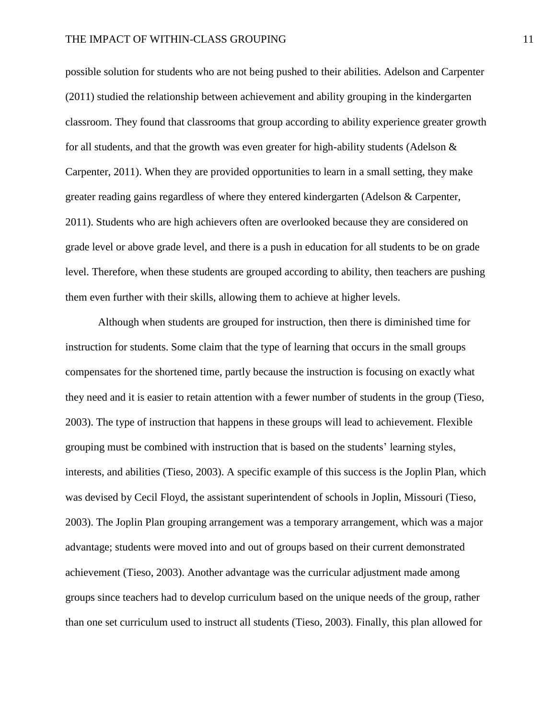possible solution for students who are not being pushed to their abilities. Adelson and Carpenter (2011) studied the relationship between achievement and ability grouping in the kindergarten classroom. They found that classrooms that group according to ability experience greater growth for all students, and that the growth was even greater for high-ability students (Adelson & Carpenter, 2011). When they are provided opportunities to learn in a small setting, they make greater reading gains regardless of where they entered kindergarten (Adelson & Carpenter, 2011). Students who are high achievers often are overlooked because they are considered on grade level or above grade level, and there is a push in education for all students to be on grade level. Therefore, when these students are grouped according to ability, then teachers are pushing them even further with their skills, allowing them to achieve at higher levels.

Although when students are grouped for instruction, then there is diminished time for instruction for students. Some claim that the type of learning that occurs in the small groups compensates for the shortened time, partly because the instruction is focusing on exactly what they need and it is easier to retain attention with a fewer number of students in the group (Tieso, 2003). The type of instruction that happens in these groups will lead to achievement. Flexible grouping must be combined with instruction that is based on the students' learning styles, interests, and abilities (Tieso, 2003). A specific example of this success is the Joplin Plan, which was devised by Cecil Floyd, the assistant superintendent of schools in Joplin, Missouri (Tieso, 2003). The Joplin Plan grouping arrangement was a temporary arrangement, which was a major advantage; students were moved into and out of groups based on their current demonstrated achievement (Tieso, 2003). Another advantage was the curricular adjustment made among groups since teachers had to develop curriculum based on the unique needs of the group, rather than one set curriculum used to instruct all students (Tieso, 2003). Finally, this plan allowed for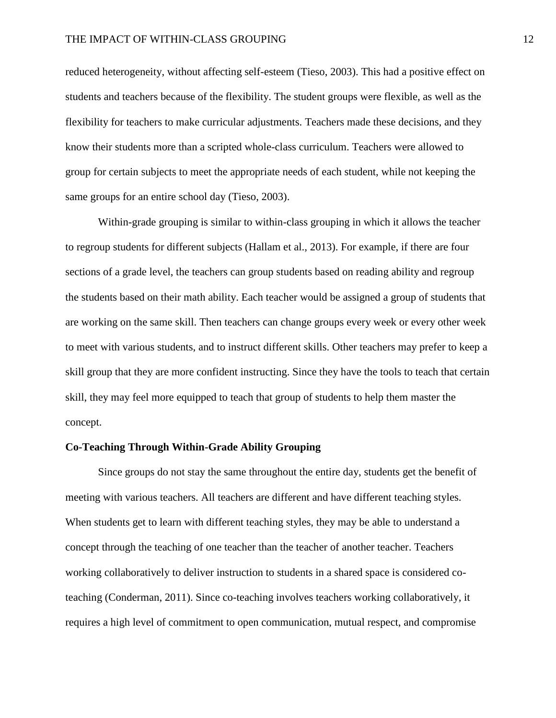reduced heterogeneity, without affecting self-esteem (Tieso, 2003). This had a positive effect on students and teachers because of the flexibility. The student groups were flexible, as well as the flexibility for teachers to make curricular adjustments. Teachers made these decisions, and they know their students more than a scripted whole-class curriculum. Teachers were allowed to group for certain subjects to meet the appropriate needs of each student, while not keeping the same groups for an entire school day (Tieso, 2003).

Within-grade grouping is similar to within-class grouping in which it allows the teacher to regroup students for different subjects (Hallam et al., 2013). For example, if there are four sections of a grade level, the teachers can group students based on reading ability and regroup the students based on their math ability. Each teacher would be assigned a group of students that are working on the same skill. Then teachers can change groups every week or every other week to meet with various students, and to instruct different skills. Other teachers may prefer to keep a skill group that they are more confident instructing. Since they have the tools to teach that certain skill, they may feel more equipped to teach that group of students to help them master the concept.

#### **Co-Teaching Through Within-Grade Ability Grouping**

Since groups do not stay the same throughout the entire day, students get the benefit of meeting with various teachers. All teachers are different and have different teaching styles. When students get to learn with different teaching styles, they may be able to understand a concept through the teaching of one teacher than the teacher of another teacher. Teachers working collaboratively to deliver instruction to students in a shared space is considered coteaching (Conderman, 2011). Since co-teaching involves teachers working collaboratively, it requires a high level of commitment to open communication, mutual respect, and compromise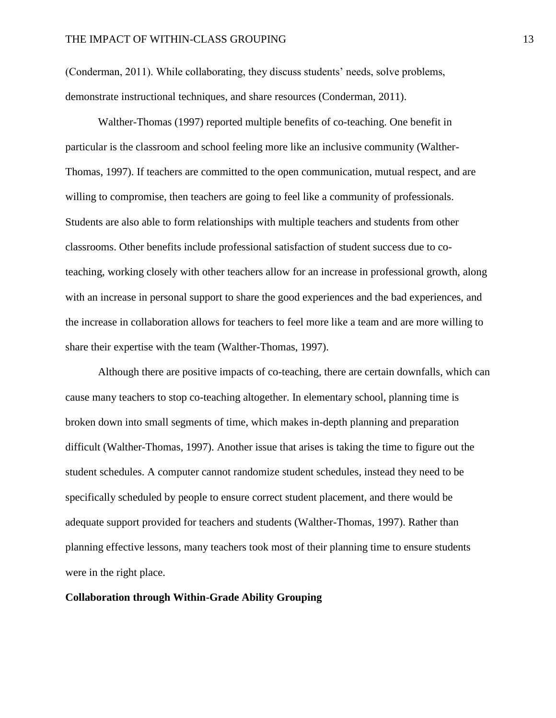(Conderman, 2011). While collaborating, they discuss students' needs, solve problems, demonstrate instructional techniques, and share resources (Conderman, 2011).

Walther-Thomas (1997) reported multiple benefits of co-teaching. One benefit in particular is the classroom and school feeling more like an inclusive community (Walther-Thomas, 1997). If teachers are committed to the open communication, mutual respect, and are willing to compromise, then teachers are going to feel like a community of professionals. Students are also able to form relationships with multiple teachers and students from other classrooms. Other benefits include professional satisfaction of student success due to coteaching, working closely with other teachers allow for an increase in professional growth, along with an increase in personal support to share the good experiences and the bad experiences, and the increase in collaboration allows for teachers to feel more like a team and are more willing to share their expertise with the team (Walther-Thomas, 1997).

Although there are positive impacts of co-teaching, there are certain downfalls, which can cause many teachers to stop co-teaching altogether. In elementary school, planning time is broken down into small segments of time, which makes in-depth planning and preparation difficult (Walther-Thomas, 1997). Another issue that arises is taking the time to figure out the student schedules. A computer cannot randomize student schedules, instead they need to be specifically scheduled by people to ensure correct student placement, and there would be adequate support provided for teachers and students (Walther-Thomas, 1997). Rather than planning effective lessons, many teachers took most of their planning time to ensure students were in the right place.

#### **Collaboration through Within-Grade Ability Grouping**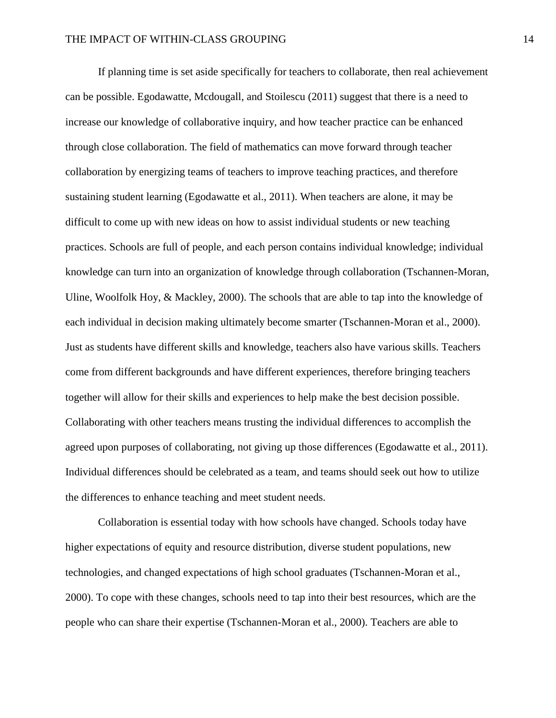If planning time is set aside specifically for teachers to collaborate, then real achievement can be possible. Egodawatte, Mcdougall, and Stoilescu (2011) suggest that there is a need to increase our knowledge of collaborative inquiry, and how teacher practice can be enhanced through close collaboration. The field of mathematics can move forward through teacher collaboration by energizing teams of teachers to improve teaching practices, and therefore sustaining student learning (Egodawatte et al., 2011). When teachers are alone, it may be difficult to come up with new ideas on how to assist individual students or new teaching practices. Schools are full of people, and each person contains individual knowledge; individual knowledge can turn into an organization of knowledge through collaboration (Tschannen-Moran, Uline, Woolfolk Hoy, & Mackley, 2000). The schools that are able to tap into the knowledge of each individual in decision making ultimately become smarter (Tschannen-Moran et al., 2000). Just as students have different skills and knowledge, teachers also have various skills. Teachers come from different backgrounds and have different experiences, therefore bringing teachers together will allow for their skills and experiences to help make the best decision possible. Collaborating with other teachers means trusting the individual differences to accomplish the agreed upon purposes of collaborating, not giving up those differences (Egodawatte et al., 2011). Individual differences should be celebrated as a team, and teams should seek out how to utilize the differences to enhance teaching and meet student needs.

Collaboration is essential today with how schools have changed. Schools today have higher expectations of equity and resource distribution, diverse student populations, new technologies, and changed expectations of high school graduates (Tschannen-Moran et al., 2000). To cope with these changes, schools need to tap into their best resources, which are the people who can share their expertise (Tschannen-Moran et al., 2000). Teachers are able to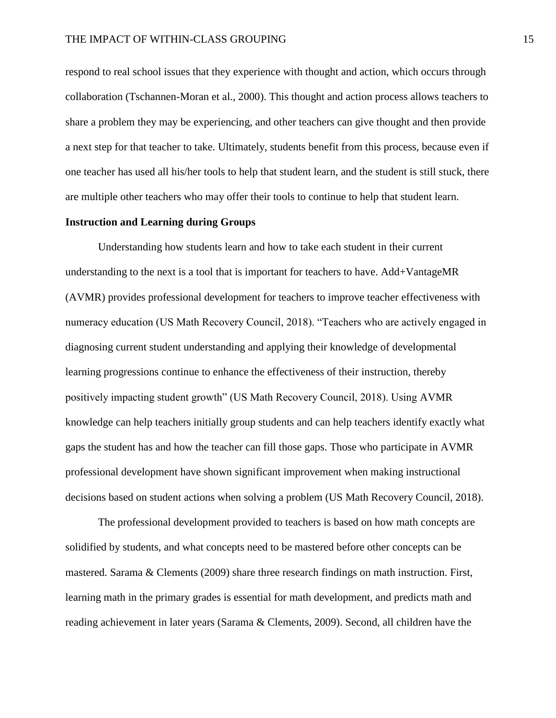respond to real school issues that they experience with thought and action, which occurs through collaboration (Tschannen-Moran et al., 2000). This thought and action process allows teachers to share a problem they may be experiencing, and other teachers can give thought and then provide a next step for that teacher to take. Ultimately, students benefit from this process, because even if one teacher has used all his/her tools to help that student learn, and the student is still stuck, there are multiple other teachers who may offer their tools to continue to help that student learn.

#### **Instruction and Learning during Groups**

Understanding how students learn and how to take each student in their current understanding to the next is a tool that is important for teachers to have. Add+VantageMR (AVMR) provides professional development for teachers to improve teacher effectiveness with numeracy education (US Math Recovery Council, 2018). "Teachers who are actively engaged in diagnosing current student understanding and applying their knowledge of developmental learning progressions continue to enhance the effectiveness of their instruction, thereby positively impacting student growth" (US Math Recovery Council, 2018). Using AVMR knowledge can help teachers initially group students and can help teachers identify exactly what gaps the student has and how the teacher can fill those gaps. Those who participate in AVMR professional development have shown significant improvement when making instructional decisions based on student actions when solving a problem (US Math Recovery Council, 2018).

The professional development provided to teachers is based on how math concepts are solidified by students, and what concepts need to be mastered before other concepts can be mastered. Sarama & Clements (2009) share three research findings on math instruction. First, learning math in the primary grades is essential for math development, and predicts math and reading achievement in later years (Sarama & Clements, 2009). Second, all children have the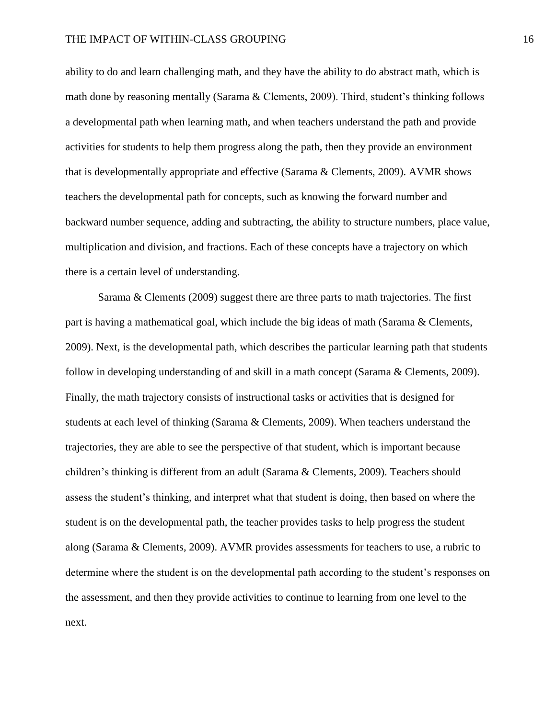ability to do and learn challenging math, and they have the ability to do abstract math, which is math done by reasoning mentally (Sarama & Clements, 2009). Third, student's thinking follows a developmental path when learning math, and when teachers understand the path and provide activities for students to help them progress along the path, then they provide an environment that is developmentally appropriate and effective (Sarama & Clements, 2009). AVMR shows teachers the developmental path for concepts, such as knowing the forward number and backward number sequence, adding and subtracting, the ability to structure numbers, place value, multiplication and division, and fractions. Each of these concepts have a trajectory on which there is a certain level of understanding.

Sarama & Clements (2009) suggest there are three parts to math trajectories. The first part is having a mathematical goal, which include the big ideas of math (Sarama & Clements, 2009). Next, is the developmental path, which describes the particular learning path that students follow in developing understanding of and skill in a math concept (Sarama & Clements, 2009). Finally, the math trajectory consists of instructional tasks or activities that is designed for students at each level of thinking (Sarama & Clements, 2009). When teachers understand the trajectories, they are able to see the perspective of that student, which is important because children's thinking is different from an adult (Sarama & Clements, 2009). Teachers should assess the student's thinking, and interpret what that student is doing, then based on where the student is on the developmental path, the teacher provides tasks to help progress the student along (Sarama & Clements, 2009). AVMR provides assessments for teachers to use, a rubric to determine where the student is on the developmental path according to the student's responses on the assessment, and then they provide activities to continue to learning from one level to the next.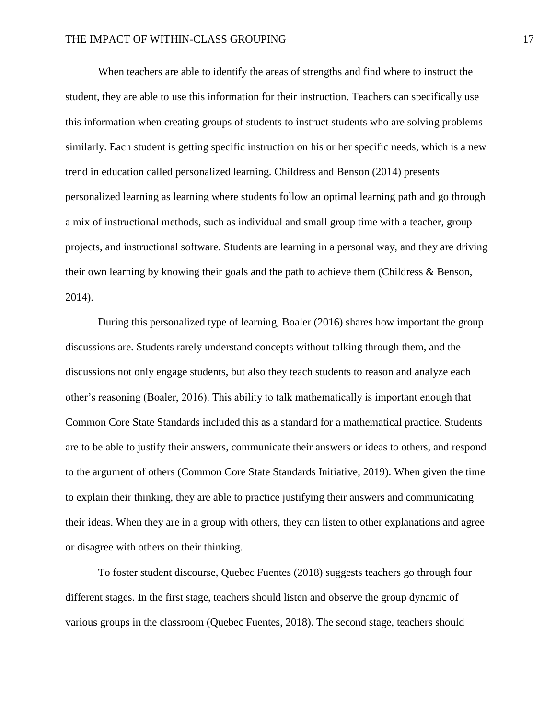When teachers are able to identify the areas of strengths and find where to instruct the student, they are able to use this information for their instruction. Teachers can specifically use this information when creating groups of students to instruct students who are solving problems similarly. Each student is getting specific instruction on his or her specific needs, which is a new trend in education called personalized learning. Childress and Benson (2014) presents personalized learning as learning where students follow an optimal learning path and go through a mix of instructional methods, such as individual and small group time with a teacher, group projects, and instructional software. Students are learning in a personal way, and they are driving their own learning by knowing their goals and the path to achieve them (Childress & Benson, 2014).

During this personalized type of learning, Boaler (2016) shares how important the group discussions are. Students rarely understand concepts without talking through them, and the discussions not only engage students, but also they teach students to reason and analyze each other's reasoning (Boaler, 2016). This ability to talk mathematically is important enough that Common Core State Standards included this as a standard for a mathematical practice. Students are to be able to justify their answers, communicate their answers or ideas to others, and respond to the argument of others (Common Core State Standards Initiative, 2019). When given the time to explain their thinking, they are able to practice justifying their answers and communicating their ideas. When they are in a group with others, they can listen to other explanations and agree or disagree with others on their thinking.

To foster student discourse, Quebec Fuentes (2018) suggests teachers go through four different stages. In the first stage, teachers should listen and observe the group dynamic of various groups in the classroom (Quebec Fuentes, 2018). The second stage, teachers should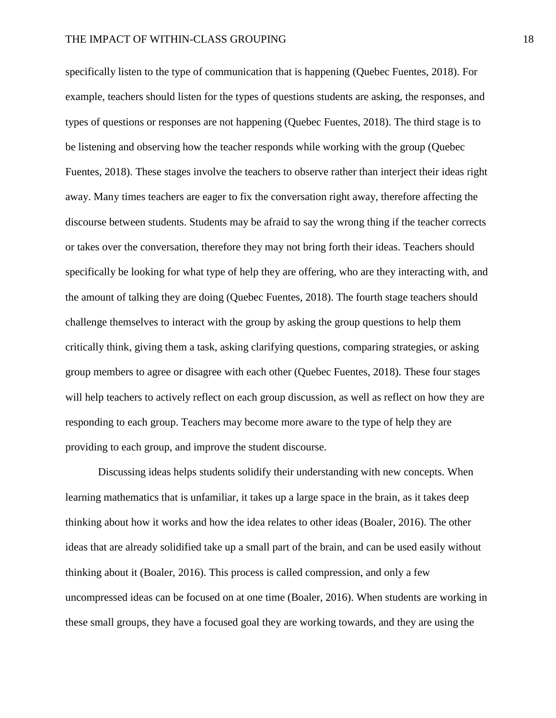specifically listen to the type of communication that is happening (Quebec Fuentes, 2018). For example, teachers should listen for the types of questions students are asking, the responses, and types of questions or responses are not happening (Quebec Fuentes, 2018). The third stage is to be listening and observing how the teacher responds while working with the group (Quebec Fuentes, 2018). These stages involve the teachers to observe rather than interject their ideas right away. Many times teachers are eager to fix the conversation right away, therefore affecting the discourse between students. Students may be afraid to say the wrong thing if the teacher corrects or takes over the conversation, therefore they may not bring forth their ideas. Teachers should specifically be looking for what type of help they are offering, who are they interacting with, and the amount of talking they are doing (Quebec Fuentes, 2018). The fourth stage teachers should challenge themselves to interact with the group by asking the group questions to help them critically think, giving them a task, asking clarifying questions, comparing strategies, or asking group members to agree or disagree with each other (Quebec Fuentes, 2018). These four stages will help teachers to actively reflect on each group discussion, as well as reflect on how they are responding to each group. Teachers may become more aware to the type of help they are providing to each group, and improve the student discourse.

Discussing ideas helps students solidify their understanding with new concepts. When learning mathematics that is unfamiliar, it takes up a large space in the brain, as it takes deep thinking about how it works and how the idea relates to other ideas (Boaler, 2016). The other ideas that are already solidified take up a small part of the brain, and can be used easily without thinking about it (Boaler, 2016). This process is called compression, and only a few uncompressed ideas can be focused on at one time (Boaler, 2016). When students are working in these small groups, they have a focused goal they are working towards, and they are using the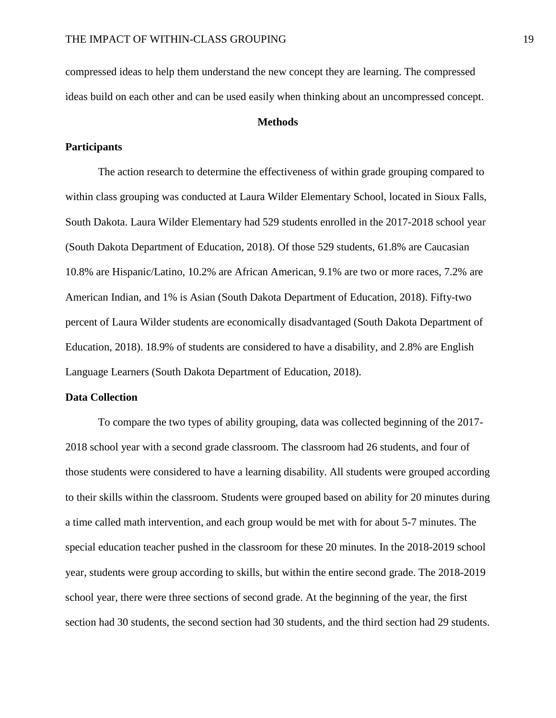compressed ideas to help them understand the new concept they are learning. The compressed ideas build on each other and can be used easily when thinking about an uncompressed concept.

#### **Methods**

#### **Participants**

The action research to determine the effectiveness of within grade grouping compared to within class grouping was conducted at Laura Wilder Elementary School, located in Sioux Falls, South Dakota. Laura Wilder Elementary had 529 students enrolled in the 2017-2018 school year (South Dakota Department of Education, 2018). Of those 529 students, 61.8% are Caucasian 10.8% are Hispanic/Latino, 10.2% are African American, 9.1% are two or more races, 7.2% are American Indian, and 1% is Asian (South Dakota Department of Education, 2018). Fifty-two percent of Laura Wilder students are economically disadvantaged (South Dakota Department of Education, 2018). 18.9% of students are considered to have a disability, and 2.8% are English Language Learners (South Dakota Department of Education, 2018).

#### **Data Collection**

To compare the two types of ability grouping, data was collected beginning of the 2017- 2018 school year with a second grade classroom. The classroom had 26 students, and four of those students were considered to have a learning disability. All students were grouped according to their skills within the classroom. Students were grouped based on ability for 20 minutes during a time called math intervention, and each group would be met with for about 5-7 minutes. The special education teacher pushed in the classroom for these 20 minutes. In the 2018-2019 school year, students were group according to skills, but within the entire second grade. The 2018-2019 school year, there were three sections of second grade. At the beginning of the year, the first section had 30 students, the second section had 30 students, and the third section had 29 students.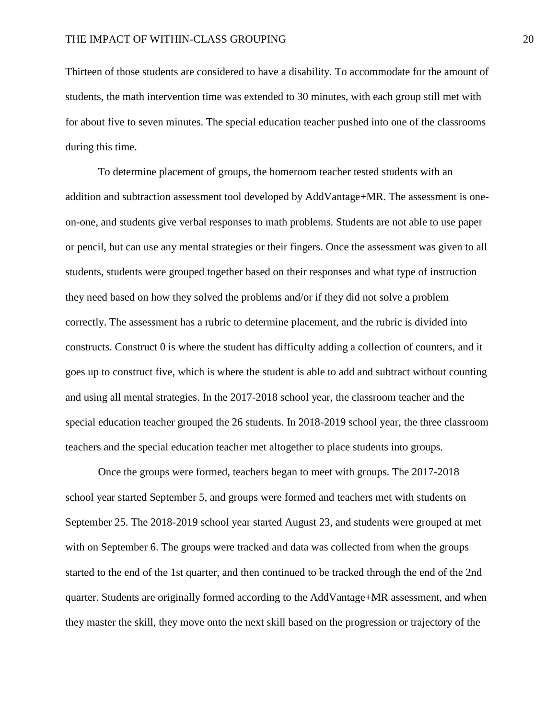Thirteen of those students are considered to have a disability. To accommodate for the amount of students, the math intervention time was extended to 30 minutes, with each group still met with for about five to seven minutes. The special education teacher pushed into one of the classrooms during this time.

To determine placement of groups, the homeroom teacher tested students with an addition and subtraction assessment tool developed by AddVantage+MR. The assessment is oneon-one, and students give verbal responses to math problems. Students are not able to use paper or pencil, but can use any mental strategies or their fingers. Once the assessment was given to all students, students were grouped together based on their responses and what type of instruction they need based on how they solved the problems and/or if they did not solve a problem correctly. The assessment has a rubric to determine placement, and the rubric is divided into constructs. Construct 0 is where the student has difficulty adding a collection of counters, and it goes up to construct five, which is where the student is able to add and subtract without counting and using all mental strategies. In the 2017-2018 school year, the classroom teacher and the special education teacher grouped the 26 students. In 2018-2019 school year, the three classroom teachers and the special education teacher met altogether to place students into groups.

Once the groups were formed, teachers began to meet with groups. The 2017-2018 school year started September 5, and groups were formed and teachers met with students on September 25. The 2018-2019 school year started August 23, and students were grouped at met with on September 6. The groups were tracked and data was collected from when the groups started to the end of the 1st quarter, and then continued to be tracked through the end of the 2nd quarter. Students are originally formed according to the AddVantage+MR assessment, and when they master the skill, they move onto the next skill based on the progression or trajectory of the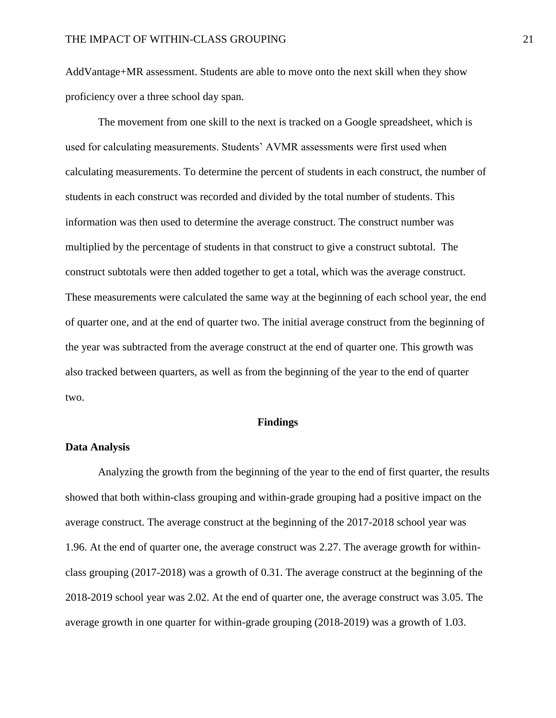AddVantage+MR assessment. Students are able to move onto the next skill when they show proficiency over a three school day span.

The movement from one skill to the next is tracked on a Google spreadsheet, which is used for calculating measurements. Students' AVMR assessments were first used when calculating measurements. To determine the percent of students in each construct, the number of students in each construct was recorded and divided by the total number of students. This information was then used to determine the average construct. The construct number was multiplied by the percentage of students in that construct to give a construct subtotal. The construct subtotals were then added together to get a total, which was the average construct. These measurements were calculated the same way at the beginning of each school year, the end of quarter one, and at the end of quarter two. The initial average construct from the beginning of the year was subtracted from the average construct at the end of quarter one. This growth was also tracked between quarters, as well as from the beginning of the year to the end of quarter two.

#### **Findings**

#### **Data Analysis**

Analyzing the growth from the beginning of the year to the end of first quarter, the results showed that both within-class grouping and within-grade grouping had a positive impact on the average construct. The average construct at the beginning of the 2017-2018 school year was 1.96. At the end of quarter one, the average construct was 2.27. The average growth for withinclass grouping (2017-2018) was a growth of 0.31. The average construct at the beginning of the 2018-2019 school year was 2.02. At the end of quarter one, the average construct was 3.05. The average growth in one quarter for within-grade grouping (2018-2019) was a growth of 1.03.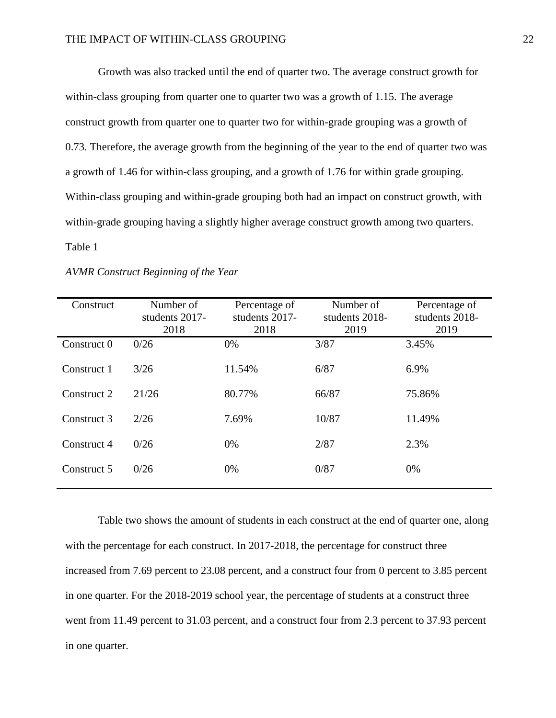Growth was also tracked until the end of quarter two. The average construct growth for within-class grouping from quarter one to quarter two was a growth of 1.15. The average construct growth from quarter one to quarter two for within-grade grouping was a growth of 0.73. Therefore, the average growth from the beginning of the year to the end of quarter two was a growth of 1.46 for within-class grouping, and a growth of 1.76 for within grade grouping. Within-class grouping and within-grade grouping both had an impact on construct growth, with within-grade grouping having a slightly higher average construct growth among two quarters. Table 1

| Construct   | Number of<br>students 2017-<br>2018 | Percentage of<br>students 2017-<br>2018 | Number of<br>students 2018-<br>2019 | Percentage of<br>students 2018-<br>2019 |
|-------------|-------------------------------------|-----------------------------------------|-------------------------------------|-----------------------------------------|
| Construct 0 | 0/26                                | $0\%$                                   | 3/87                                | 3.45%                                   |
| Construct 1 | 3/26                                | 11.54%                                  | 6/87                                | 6.9%                                    |
| Construct 2 | 21/26                               | 80.77%                                  | 66/87                               | 75.86%                                  |
| Construct 3 | 2/26                                | 7.69%                                   | 10/87                               | 11.49%                                  |
| Construct 4 | 0/26                                | $0\%$                                   | 2/87                                | 2.3%                                    |
| Construct 5 | 0/26                                | 0%                                      | 0/87                                | 0%                                      |
|             |                                     |                                         |                                     |                                         |

*AVMR Construct Beginning of the Year*

Table two shows the amount of students in each construct at the end of quarter one, along with the percentage for each construct. In 2017-2018, the percentage for construct three increased from 7.69 percent to 23.08 percent, and a construct four from 0 percent to 3.85 percent in one quarter. For the 2018-2019 school year, the percentage of students at a construct three went from 11.49 percent to 31.03 percent, and a construct four from 2.3 percent to 37.93 percent in one quarter.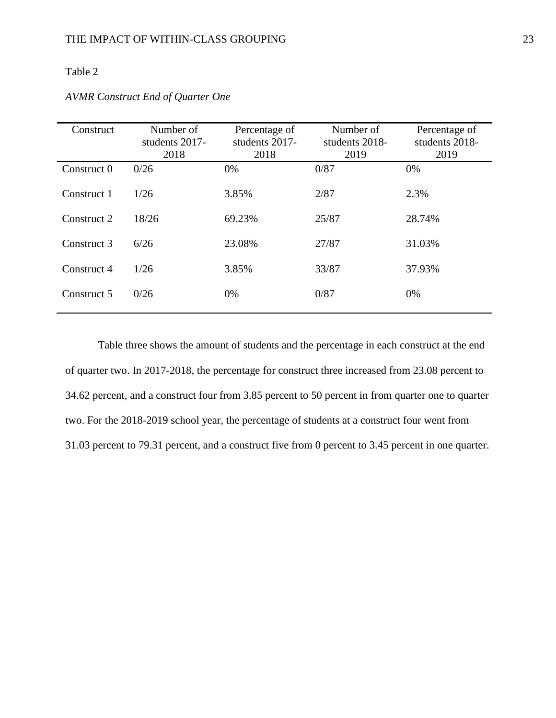## Table 2

| Construct   | Number of<br>students 2017-<br>2018 | Percentage of<br>students 2017-<br>2018 | Number of<br>students 2018-<br>2019 | Percentage of<br>students 2018-<br>2019 |
|-------------|-------------------------------------|-----------------------------------------|-------------------------------------|-----------------------------------------|
| Construct 0 | 0/26                                | 0%                                      | 0/87                                | 0%                                      |
| Construct 1 | 1/26                                | 3.85%                                   | 2/87                                | 2.3%                                    |
| Construct 2 | 18/26                               | 69.23%                                  | 25/87                               | 28.74%                                  |
| Construct 3 | 6/26                                | 23.08%                                  | 27/87                               | 31.03%                                  |
| Construct 4 | 1/26                                | 3.85%                                   | 33/87                               | 37.93%                                  |
| Construct 5 | 0/26                                | 0%                                      | 0/87                                | 0%                                      |

## *AVMR Construct End of Quarter One*

Table three shows the amount of students and the percentage in each construct at the end of quarter two. In 2017-2018, the percentage for construct three increased from 23.08 percent to 34.62 percent, and a construct four from 3.85 percent to 50 percent in from quarter one to quarter two. For the 2018-2019 school year, the percentage of students at a construct four went from 31.03 percent to 79.31 percent, and a construct five from 0 percent to 3.45 percent in one quarter.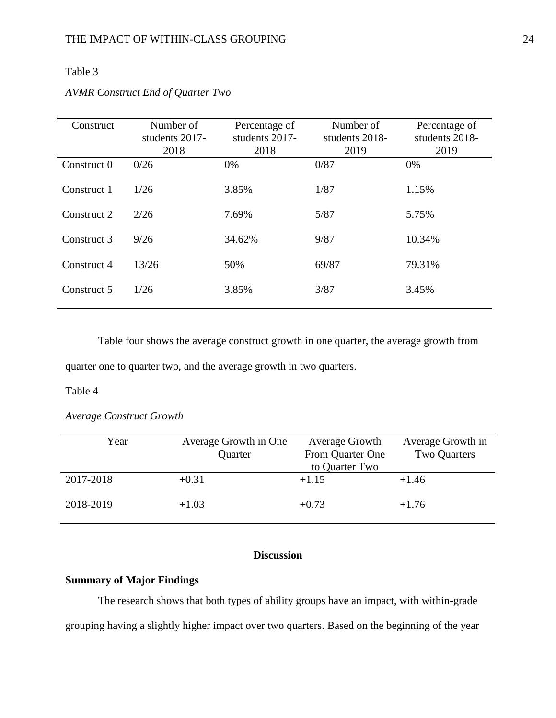## Table 3

| Construct   | Number of<br>students 2017-<br>2018 | Percentage of<br>students 2017-<br>2018 | Number of<br>students 2018-<br>2019 | Percentage of<br>students 2018-<br>2019 |
|-------------|-------------------------------------|-----------------------------------------|-------------------------------------|-----------------------------------------|
| Construct 0 | 0/26                                | 0%                                      | 0/87                                | 0%                                      |
| Construct 1 | 1/26                                | 3.85%                                   | 1/87                                | 1.15%                                   |
| Construct 2 | 2/26                                | 7.69%                                   | 5/87                                | 5.75%                                   |
| Construct 3 | 9/26                                | 34.62%                                  | 9/87                                | 10.34%                                  |
| Construct 4 | 13/26                               | 50%                                     | 69/87                               | 79.31%                                  |
| Construct 5 | 1/26                                | 3.85%                                   | 3/87                                | 3.45%                                   |

## *AVMR Construct End of Quarter Two*

Table four shows the average construct growth in one quarter, the average growth from

quarter one to quarter two, and the average growth in two quarters.

## Table 4

## *Average Construct Growth*

| Year      | Average Growth in One | Average Growth   | Average Growth in |
|-----------|-----------------------|------------------|-------------------|
|           | Quarter               | From Quarter One | Two Quarters      |
|           |                       | to Quarter Two   |                   |
| 2017-2018 | $+0.31$               | $+1.15$          | $+1.46$           |
|           |                       |                  |                   |
| 2018-2019 | $+1.03$               | $+0.73$          | $+1.76$           |

## **Discussion**

## <span id="page-24-0"></span>**Summary of Major Findings**

The research shows that both types of ability groups have an impact, with within-grade grouping having a slightly higher impact over two quarters. Based on the beginning of the year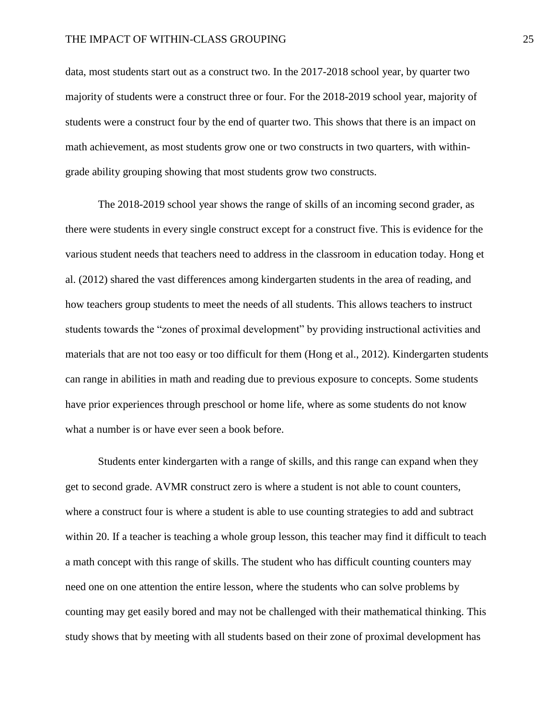data, most students start out as a construct two. In the 2017-2018 school year, by quarter two majority of students were a construct three or four. For the 2018-2019 school year, majority of students were a construct four by the end of quarter two. This shows that there is an impact on math achievement, as most students grow one or two constructs in two quarters, with withingrade ability grouping showing that most students grow two constructs.

The 2018-2019 school year shows the range of skills of an incoming second grader, as there were students in every single construct except for a construct five. This is evidence for the various student needs that teachers need to address in the classroom in education today. Hong et al. (2012) shared the vast differences among kindergarten students in the area of reading, and how teachers group students to meet the needs of all students. This allows teachers to instruct students towards the "zones of proximal development" by providing instructional activities and materials that are not too easy or too difficult for them (Hong et al., 2012). Kindergarten students can range in abilities in math and reading due to previous exposure to concepts. Some students have prior experiences through preschool or home life, where as some students do not know what a number is or have ever seen a book before.

Students enter kindergarten with a range of skills, and this range can expand when they get to second grade. AVMR construct zero is where a student is not able to count counters, where a construct four is where a student is able to use counting strategies to add and subtract within 20. If a teacher is teaching a whole group lesson, this teacher may find it difficult to teach a math concept with this range of skills. The student who has difficult counting counters may need one on one attention the entire lesson, where the students who can solve problems by counting may get easily bored and may not be challenged with their mathematical thinking. This study shows that by meeting with all students based on their zone of proximal development has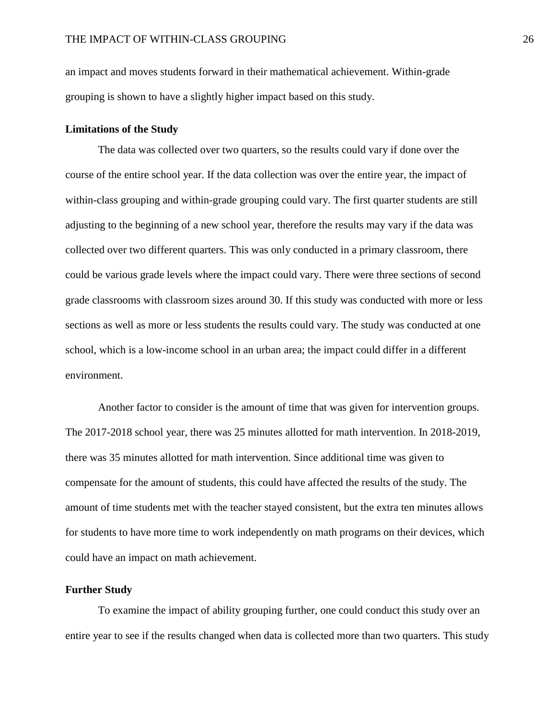an impact and moves students forward in their mathematical achievement. Within-grade grouping is shown to have a slightly higher impact based on this study.

#### **Limitations of the Study**

The data was collected over two quarters, so the results could vary if done over the course of the entire school year. If the data collection was over the entire year, the impact of within-class grouping and within-grade grouping could vary. The first quarter students are still adjusting to the beginning of a new school year, therefore the results may vary if the data was collected over two different quarters. This was only conducted in a primary classroom, there could be various grade levels where the impact could vary. There were three sections of second grade classrooms with classroom sizes around 30. If this study was conducted with more or less sections as well as more or less students the results could vary. The study was conducted at one school, which is a low-income school in an urban area; the impact could differ in a different environment.

Another factor to consider is the amount of time that was given for intervention groups. The 2017-2018 school year, there was 25 minutes allotted for math intervention. In 2018-2019, there was 35 minutes allotted for math intervention. Since additional time was given to compensate for the amount of students, this could have affected the results of the study. The amount of time students met with the teacher stayed consistent, but the extra ten minutes allows for students to have more time to work independently on math programs on their devices, which could have an impact on math achievement.

## **Further Study**

To examine the impact of ability grouping further, one could conduct this study over an entire year to see if the results changed when data is collected more than two quarters. This study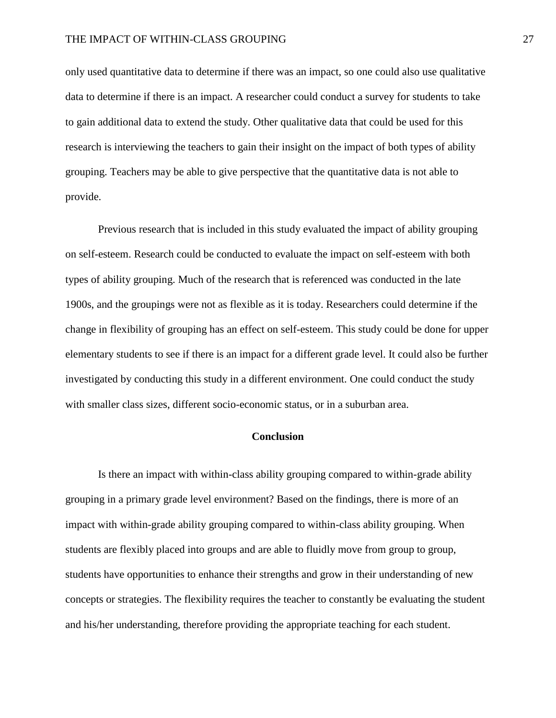only used quantitative data to determine if there was an impact, so one could also use qualitative data to determine if there is an impact. A researcher could conduct a survey for students to take to gain additional data to extend the study. Other qualitative data that could be used for this research is interviewing the teachers to gain their insight on the impact of both types of ability grouping. Teachers may be able to give perspective that the quantitative data is not able to provide.

Previous research that is included in this study evaluated the impact of ability grouping on self-esteem. Research could be conducted to evaluate the impact on self-esteem with both types of ability grouping. Much of the research that is referenced was conducted in the late 1900s, and the groupings were not as flexible as it is today. Researchers could determine if the change in flexibility of grouping has an effect on self-esteem. This study could be done for upper elementary students to see if there is an impact for a different grade level. It could also be further investigated by conducting this study in a different environment. One could conduct the study with smaller class sizes, different socio-economic status, or in a suburban area.

## **Conclusion**

Is there an impact with within-class ability grouping compared to within-grade ability grouping in a primary grade level environment? Based on the findings, there is more of an impact with within-grade ability grouping compared to within-class ability grouping. When students are flexibly placed into groups and are able to fluidly move from group to group, students have opportunities to enhance their strengths and grow in their understanding of new concepts or strategies. The flexibility requires the teacher to constantly be evaluating the student and his/her understanding, therefore providing the appropriate teaching for each student.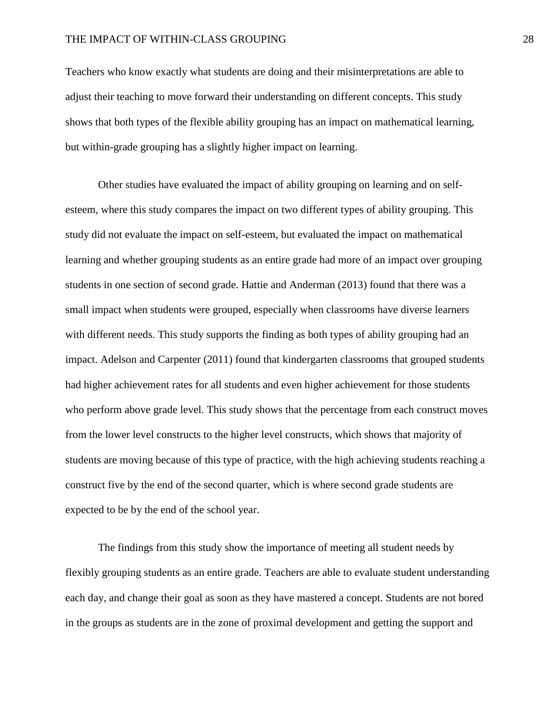Teachers who know exactly what students are doing and their misinterpretations are able to adjust their teaching to move forward their understanding on different concepts. This study shows that both types of the flexible ability grouping has an impact on mathematical learning, but within-grade grouping has a slightly higher impact on learning.

Other studies have evaluated the impact of ability grouping on learning and on selfesteem, where this study compares the impact on two different types of ability grouping. This study did not evaluate the impact on self-esteem, but evaluated the impact on mathematical learning and whether grouping students as an entire grade had more of an impact over grouping students in one section of second grade. Hattie and Anderman (2013) found that there was a small impact when students were grouped, especially when classrooms have diverse learners with different needs. This study supports the finding as both types of ability grouping had an impact. Adelson and Carpenter (2011) found that kindergarten classrooms that grouped students had higher achievement rates for all students and even higher achievement for those students who perform above grade level. This study shows that the percentage from each construct moves from the lower level constructs to the higher level constructs, which shows that majority of students are moving because of this type of practice, with the high achieving students reaching a construct five by the end of the second quarter, which is where second grade students are expected to be by the end of the school year.

The findings from this study show the importance of meeting all student needs by flexibly grouping students as an entire grade. Teachers are able to evaluate student understanding each day, and change their goal as soon as they have mastered a concept. Students are not bored in the groups as students are in the zone of proximal development and getting the support and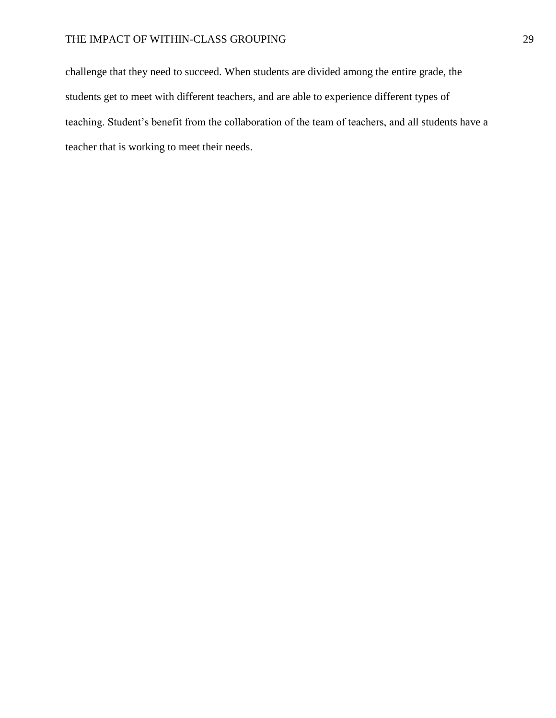challenge that they need to succeed. When students are divided among the entire grade, the students get to meet with different teachers, and are able to experience different types of teaching. Student's benefit from the collaboration of the team of teachers, and all students have a teacher that is working to meet their needs.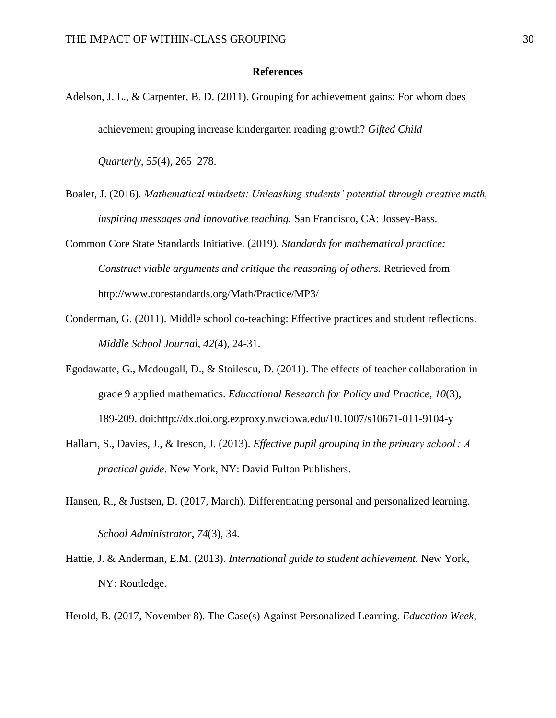#### **References**

Adelson, J. L., & Carpenter, B. D. (2011). Grouping for achievement gains: For whom does achievement grouping increase kindergarten reading growth? *Gifted Child* 

*Quarterly*, *55*(4), 265–278.

- Boaler, J. (2016). *Mathematical mindsets: Unleashing students' potential through creative math, inspiring messages and innovative teaching.* San Francisco, CA: Jossey-Bass.
- Common Core State Standards Initiative. (2019). *Standards for mathematical practice: Construct viable arguments and critique the reasoning of others.* Retrieved from http://www.corestandards.org/Math/Practice/MP3/
- Conderman, G. (2011). Middle school co-teaching: Effective practices and student reflections. *Middle School Journal, 42*(4), 24-31.
- Egodawatte, G., Mcdougall, D., & Stoilescu, D. (2011). The effects of teacher collaboration in grade 9 applied mathematics. *Educational Research for Policy and Practice, 10*(3), 189-209. doi:http://dx.doi.org.ezproxy.nwciowa.edu/10.1007/s10671-011-9104-y
- Hallam, S., Davies, J., & Ireson, J. (2013). *Effective pupil grouping in the primary school : A practical guide*. New York, NY: David Fulton Publishers.
- Hansen, R., & Justsen, D. (2017, March). Differentiating personal and personalized learning. *School Administrator*, *74*(3), 34.
- Hattie, J. & Anderman, E.M. (2013). *International guide to student achievement.* New York, NY: Routledge.
- Herold, B. (2017, November 8). The Case(s) Against Personalized Learning. *Education Week*,